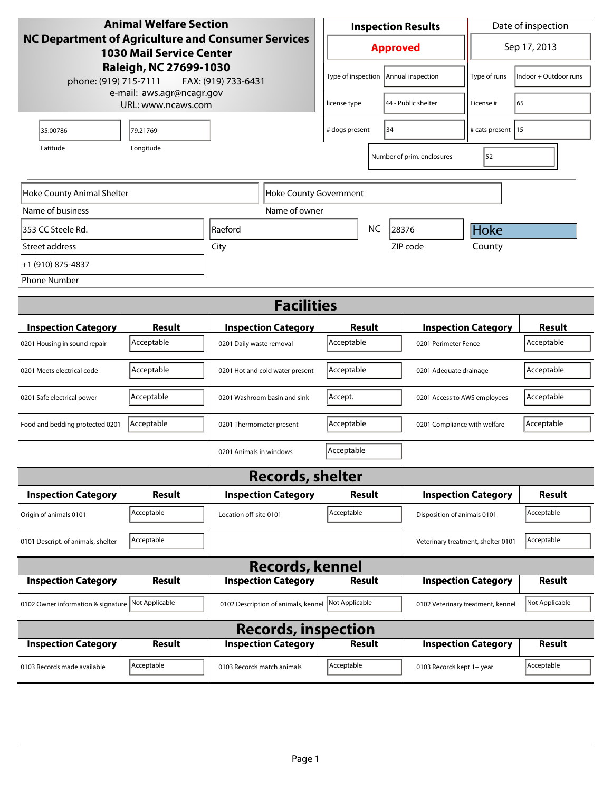| <b>Animal Welfare Section</b><br><b>NC Department of Agriculture and Consumer Services</b><br><b>1030 Mail Service Center</b><br>Raleigh, NC 27699-1030<br>phone: (919) 715-7111<br>FAX: (919) 733-6431 |                |                                     | <b>Inspection Results</b> |                                      |                                    |                              | Date of inspection                 |                            |                       |
|---------------------------------------------------------------------------------------------------------------------------------------------------------------------------------------------------------|----------------|-------------------------------------|---------------------------|--------------------------------------|------------------------------------|------------------------------|------------------------------------|----------------------------|-----------------------|
|                                                                                                                                                                                                         |                |                                     |                           | <b>Approved</b>                      |                                    |                              |                                    | Sep 17, 2013               |                       |
|                                                                                                                                                                                                         |                |                                     |                           | Type of inspection                   |                                    |                              | Annual inspection                  | Type of runs               | Indoor + Outdoor runs |
| e-mail: aws.agr@ncagr.gov<br>URL: www.ncaws.com                                                                                                                                                         |                | license type                        |                           |                                      | 44 - Public shelter                | License#                     | 65                                 |                            |                       |
| 35.00786                                                                                                                                                                                                | 79.21769       |                                     |                           | # dogs present<br>34                 |                                    |                              | # cats present 15                  |                            |                       |
| Longitude<br>Latitude<br>Number of prim. enclosures                                                                                                                                                     |                |                                     |                           |                                      |                                    | 52                           |                                    |                            |                       |
| Hoke County Animal Shelter<br>Hoke County Government                                                                                                                                                    |                |                                     |                           |                                      |                                    |                              |                                    |                            |                       |
| Name of business                                                                                                                                                                                        |                | Name of owner                       |                           |                                      |                                    |                              |                                    |                            |                       |
| 353 CC Steele Rd.                                                                                                                                                                                       |                | Raeford                             |                           | NC<br>28376                          |                                    |                              | Hoke                               |                            |                       |
| Street address                                                                                                                                                                                          |                | City                                |                           |                                      |                                    |                              | ZIP code                           | County                     |                       |
| +1 (910) 875-4837                                                                                                                                                                                       |                |                                     |                           |                                      |                                    |                              |                                    |                            |                       |
| <b>Phone Number</b>                                                                                                                                                                                     |                |                                     |                           |                                      |                                    |                              |                                    |                            |                       |
| <b>Facilities</b>                                                                                                                                                                                       |                |                                     |                           |                                      |                                    |                              |                                    |                            |                       |
| <b>Inspection Category</b>                                                                                                                                                                              | <b>Result</b>  | <b>Inspection Category</b>          |                           | Result                               |                                    |                              |                                    | <b>Inspection Category</b> | <b>Result</b>         |
| 0201 Housing in sound repair                                                                                                                                                                            | Acceptable     | 0201 Daily waste removal            |                           |                                      | Acceptable<br>0201 Perimeter Fence |                              |                                    | Acceptable                 |                       |
| 0201 Meets electrical code                                                                                                                                                                              | Acceptable     | 0201 Hot and cold water present     |                           | Acceptable<br>0201 Adequate drainage |                                    |                              | Acceptable                         |                            |                       |
| 0201 Safe electrical power                                                                                                                                                                              | Acceptable     | 0201 Washroom basin and sink        |                           | Accept.                              |                                    | 0201 Access to AWS employees |                                    | Acceptable                 |                       |
| Food and bedding protected 0201                                                                                                                                                                         | Acceptable     | 0201 Thermometer present            |                           | Acceptable                           |                                    | 0201 Compliance with welfare |                                    | Acceptable                 |                       |
|                                                                                                                                                                                                         |                | 0201 Animals in windows             |                           | Acceptable                           |                                    |                              |                                    |                            |                       |
|                                                                                                                                                                                                         |                | <b>Records, shelter</b>             |                           |                                      |                                    |                              |                                    |                            |                       |
| <b>Inspection Category</b>                                                                                                                                                                              | Result         | <b>Inspection Category</b>          |                           | Result                               |                                    | <b>Inspection Category</b>   | Result                             |                            |                       |
| Origin of animals 0101                                                                                                                                                                                  | Acceptable     | Location off-site 0101              |                           | Acceptable                           |                                    |                              | Disposition of animals 0101        |                            | Acceptable            |
| 0101 Descript. of animals, shelter                                                                                                                                                                      | Acceptable     |                                     |                           |                                      |                                    |                              | Veterinary treatment, shelter 0101 |                            | Acceptable            |
|                                                                                                                                                                                                         |                | <b>Records, kennel</b>              |                           |                                      |                                    |                              |                                    |                            |                       |
| <b>Inspection Category</b>                                                                                                                                                                              | <b>Result</b>  | <b>Inspection Category</b>          |                           | <b>Result</b>                        |                                    |                              |                                    | <b>Inspection Category</b> | <b>Result</b>         |
| 0102 Owner information & signature                                                                                                                                                                      | Not Applicable | 0102 Description of animals, kennel |                           | Not Applicable                       |                                    |                              | 0102 Veterinary treatment, kennel  |                            | Not Applicable        |
| <b>Records, inspection</b>                                                                                                                                                                              |                |                                     |                           |                                      |                                    |                              |                                    |                            |                       |
| <b>Inspection Category</b>                                                                                                                                                                              | <b>Result</b>  | <b>Inspection Category</b>          |                           | <b>Result</b>                        |                                    |                              |                                    | <b>Inspection Category</b> | <b>Result</b>         |
| 0103 Records made available                                                                                                                                                                             | Acceptable     | 0103 Records match animals          |                           | Acceptable                           |                                    |                              | 0103 Records kept 1+ year          |                            | Acceptable            |
|                                                                                                                                                                                                         |                |                                     |                           |                                      |                                    |                              |                                    |                            |                       |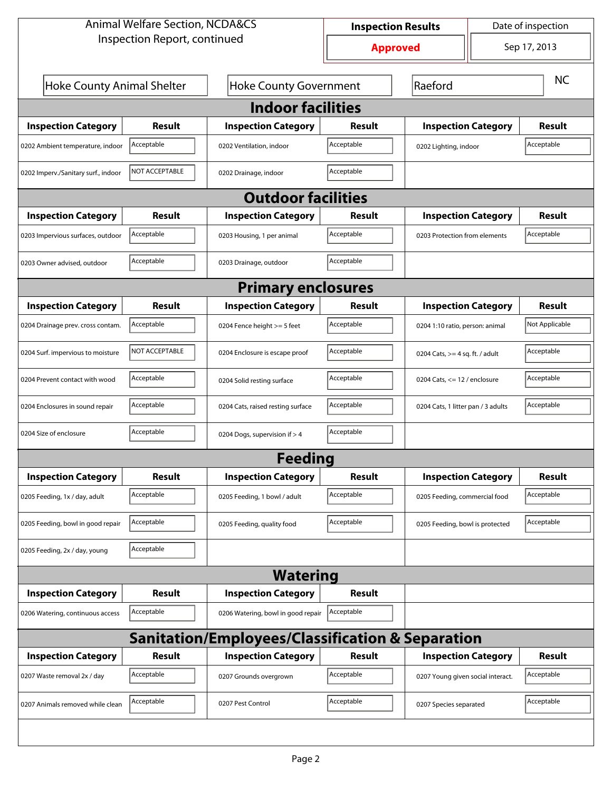| <b>Animal Welfare Section, NCDA&amp;CS</b>       |                |                                    | <b>Inspection Results</b> |                                   |                                    | Date of inspection |  |  |  |
|--------------------------------------------------|----------------|------------------------------------|---------------------------|-----------------------------------|------------------------------------|--------------------|--|--|--|
| Inspection Report, continued                     |                |                                    | <b>Approved</b>           |                                   |                                    | Sep 17, 2013       |  |  |  |
| Hoke County Animal Shelter                       |                | <b>Hoke County Government</b>      | Raeford                   |                                   |                                    | <b>NC</b>          |  |  |  |
| <b>Indoor facilities</b>                         |                |                                    |                           |                                   |                                    |                    |  |  |  |
| <b>Inspection Category</b>                       | Result         | <b>Inspection Category</b>         | Result                    | <b>Inspection Category</b>        |                                    | <b>Result</b>      |  |  |  |
| 0202 Ambient temperature, indoor                 | Acceptable     | 0202 Ventilation, indoor           | Acceptable                | 0202 Lighting, indoor             |                                    | Acceptable         |  |  |  |
| 0202 Imperv./Sanitary surf., indoor              | NOT ACCEPTABLE | 0202 Drainage, indoor              | Acceptable                |                                   |                                    |                    |  |  |  |
| <b>Outdoor facilities</b>                        |                |                                    |                           |                                   |                                    |                    |  |  |  |
| <b>Inspection Category</b>                       | Result         | <b>Inspection Category</b>         | Result                    | <b>Inspection Category</b>        |                                    | Result             |  |  |  |
| 0203 Impervious surfaces, outdoor                | Acceptable     | 0203 Housing, 1 per animal         | Acceptable                | 0203 Protection from elements     |                                    | Acceptable         |  |  |  |
| 0203 Owner advised, outdoor                      | Acceptable     | 0203 Drainage, outdoor             | Acceptable                |                                   |                                    |                    |  |  |  |
| <b>Primary enclosures</b>                        |                |                                    |                           |                                   |                                    |                    |  |  |  |
| <b>Inspection Category</b>                       | Result         | <b>Inspection Category</b>         | Result                    | <b>Inspection Category</b>        |                                    | Result             |  |  |  |
| 0204 Drainage prev. cross contam.                | Acceptable     | 0204 Fence height >= 5 feet        | Acceptable                | 0204 1:10 ratio, person: animal   |                                    | Not Applicable     |  |  |  |
| 0204 Surf. impervious to moisture                | NOT ACCEPTABLE | 0204 Enclosure is escape proof     | Acceptable                |                                   | 0204 Cats, $>=$ 4 sq. ft. / adult  |                    |  |  |  |
| 0204 Prevent contact with wood                   | Acceptable     | 0204 Solid resting surface         | Acceptable                |                                   | 0204 Cats, $\le$ 12 / enclosure    |                    |  |  |  |
| 0204 Enclosures in sound repair                  | Acceptable     | 0204 Cats, raised resting surface  | Acceptable                |                                   | 0204 Cats, 1 litter pan / 3 adults |                    |  |  |  |
| 0204 Size of enclosure                           | Acceptable     | 0204 Dogs, supervision if > 4      | Acceptable                |                                   |                                    |                    |  |  |  |
|                                                  |                | Feedina                            |                           |                                   |                                    |                    |  |  |  |
| <b>Inspection Category</b>                       | <b>Result</b>  | <b>Inspection Category</b>         | <b>Result</b>             | <b>Inspection Category</b>        |                                    | <b>Result</b>      |  |  |  |
| 0205 Feeding, 1x / day, adult                    | Acceptable     | 0205 Feeding, 1 bowl / adult       | Acceptable                | 0205 Feeding, commercial food     |                                    | Acceptable         |  |  |  |
| 0205 Feeding, bowl in good repair                | Acceptable     | 0205 Feeding, quality food         | Acceptable                | 0205 Feeding, bowl is protected   |                                    | Acceptable         |  |  |  |
| 0205 Feeding, 2x / day, young                    | Acceptable     |                                    |                           |                                   |                                    |                    |  |  |  |
| <b>Watering</b>                                  |                |                                    |                           |                                   |                                    |                    |  |  |  |
| <b>Inspection Category</b>                       | <b>Result</b>  | <b>Inspection Category</b>         | <b>Result</b>             |                                   |                                    |                    |  |  |  |
| 0206 Watering, continuous access                 | Acceptable     | 0206 Watering, bowl in good repair | Acceptable                |                                   |                                    |                    |  |  |  |
| Sanitation/Employees/Classification & Separation |                |                                    |                           |                                   |                                    |                    |  |  |  |
| <b>Inspection Category</b>                       | <b>Result</b>  | <b>Inspection Category</b>         | <b>Result</b>             | <b>Inspection Category</b>        |                                    | <b>Result</b>      |  |  |  |
| 0207 Waste removal 2x / day                      | Acceptable     | 0207 Grounds overgrown             | Acceptable                | 0207 Young given social interact. |                                    | Acceptable         |  |  |  |
| 0207 Animals removed while clean                 | Acceptable     | 0207 Pest Control                  | Acceptable                | 0207 Species separated            |                                    | Acceptable         |  |  |  |
|                                                  |                |                                    |                           |                                   |                                    |                    |  |  |  |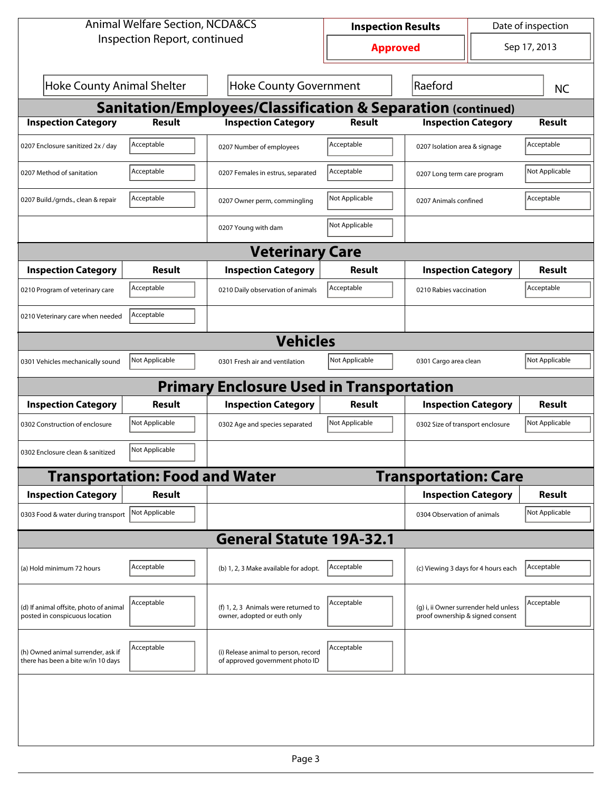| <b>Animal Welfare Section, NCDA&amp;CS</b>                               |                                       |                                                                         | <b>Inspection Results</b> |                                                                           | Date of inspection |                |  |  |  |
|--------------------------------------------------------------------------|---------------------------------------|-------------------------------------------------------------------------|---------------------------|---------------------------------------------------------------------------|--------------------|----------------|--|--|--|
| Inspection Report, continued                                             |                                       |                                                                         | <b>Approved</b>           |                                                                           |                    | Sep 17, 2013   |  |  |  |
| <b>Hoke County Animal Shelter</b>                                        |                                       | <b>Hoke County Government</b>                                           |                           | Raeford                                                                   |                    | <b>NC</b>      |  |  |  |
| <b>Sanitation/Employees/Classification &amp; Separation (continued)</b>  |                                       |                                                                         |                           |                                                                           |                    |                |  |  |  |
| <b>Inspection Category</b>                                               | <b>Result</b>                         | <b>Inspection Category</b>                                              | <b>Result</b>             | <b>Inspection Category</b>                                                |                    | Result         |  |  |  |
| 0207 Enclosure sanitized 2x / day                                        | Acceptable                            | 0207 Number of employees                                                | Acceptable                | 0207 Isolation area & signage                                             |                    | Acceptable     |  |  |  |
| 0207 Method of sanitation                                                | Acceptable                            | 0207 Females in estrus, separated                                       | Acceptable                | 0207 Long term care program                                               |                    | Not Applicable |  |  |  |
| 0207 Build./grnds., clean & repair                                       | Acceptable                            | 0207 Owner perm, commingling                                            | Not Applicable            | 0207 Animals confined                                                     |                    | Acceptable     |  |  |  |
|                                                                          |                                       | 0207 Young with dam                                                     | Not Applicable            |                                                                           |                    |                |  |  |  |
| <b>Veterinary Care</b>                                                   |                                       |                                                                         |                           |                                                                           |                    |                |  |  |  |
| <b>Inspection Category</b>                                               | Result                                | <b>Inspection Category</b>                                              | <b>Result</b>             | <b>Inspection Category</b>                                                |                    | <b>Result</b>  |  |  |  |
| 0210 Program of veterinary care                                          | Acceptable                            | 0210 Daily observation of animals                                       | Acceptable                | 0210 Rabies vaccination                                                   |                    | Acceptable     |  |  |  |
| 0210 Veterinary care when needed                                         | Acceptable                            |                                                                         |                           |                                                                           |                    |                |  |  |  |
|                                                                          |                                       | <b>Vehicles</b>                                                         |                           |                                                                           |                    |                |  |  |  |
| 0301 Vehicles mechanically sound                                         | Not Applicable                        | 0301 Fresh air and ventilation                                          | Not Applicable            | 0301 Cargo area clean                                                     |                    | Not Applicable |  |  |  |
|                                                                          |                                       | <b>Primary Enclosure Used in Transportation</b>                         |                           |                                                                           |                    |                |  |  |  |
| <b>Inspection Category</b>                                               | <b>Result</b>                         | <b>Inspection Category</b>                                              | <b>Result</b>             | <b>Inspection Category</b>                                                |                    | <b>Result</b>  |  |  |  |
| 0302 Construction of enclosure                                           | Not Applicable                        | 0302 Age and species separated                                          | Not Applicable            | 0302 Size of transport enclosure                                          |                    | Not Applicable |  |  |  |
| 0302 Enclosure clean & sanitized                                         | Not Applicable                        |                                                                         |                           |                                                                           |                    |                |  |  |  |
|                                                                          | <b>Transportation: Food and Water</b> |                                                                         |                           | <b>Transportation: Care</b>                                               |                    |                |  |  |  |
| <b>Inspection Category</b>                                               | <b>Result</b>                         |                                                                         |                           | <b>Inspection Category</b>                                                |                    | <b>Result</b>  |  |  |  |
| 0303 Food & water during transport                                       | Not Applicable                        |                                                                         |                           | 0304 Observation of animals                                               |                    | Not Applicable |  |  |  |
|                                                                          |                                       | <b>General Statute 19A-32.1</b>                                         |                           |                                                                           |                    |                |  |  |  |
| (a) Hold minimum 72 hours                                                | Acceptable                            | (b) 1, 2, 3 Make available for adopt.                                   | Acceptable                | (c) Viewing 3 days for 4 hours each                                       |                    | Acceptable     |  |  |  |
| (d) If animal offsite, photo of animal<br>posted in conspicuous location | Acceptable                            | (f) 1, 2, 3 Animals were returned to<br>owner, adopted or euth only     | Acceptable                | (g) i, ii Owner surrender held unless<br>proof ownership & signed consent |                    | Acceptable     |  |  |  |
| (h) Owned animal surrender, ask if<br>there has been a bite w/in 10 days | Acceptable                            | (i) Release animal to person, record<br>of approved government photo ID | Acceptable                |                                                                           |                    |                |  |  |  |
|                                                                          |                                       |                                                                         |                           |                                                                           |                    |                |  |  |  |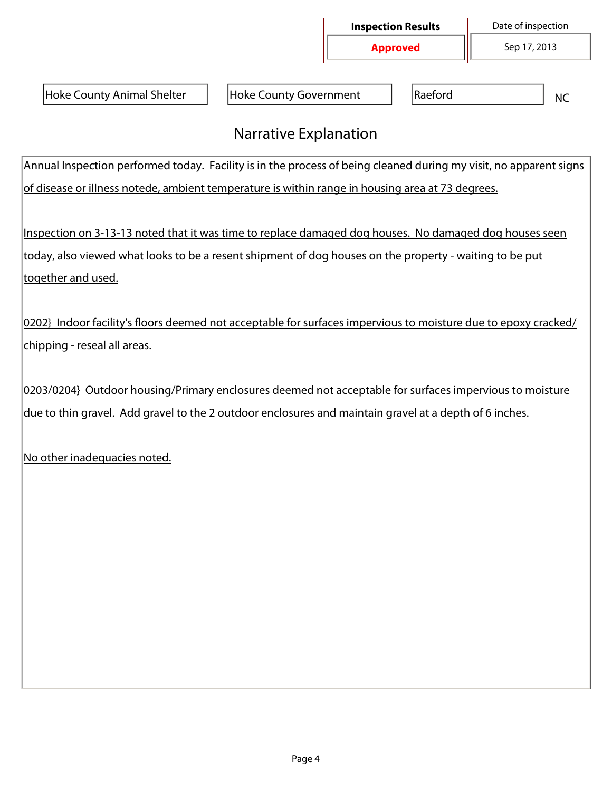|                                                                                                                |                                                                                                                   | <b>Inspection Results</b> |              | Date of inspection |  |  |  |  |  |
|----------------------------------------------------------------------------------------------------------------|-------------------------------------------------------------------------------------------------------------------|---------------------------|--------------|--------------------|--|--|--|--|--|
|                                                                                                                | <b>Approved</b>                                                                                                   |                           | Sep 17, 2013 |                    |  |  |  |  |  |
|                                                                                                                |                                                                                                                   |                           |              |                    |  |  |  |  |  |
| <b>Hoke County Animal Shelter</b>                                                                              | <b>Hoke County Government</b>                                                                                     |                           | Raeford      | <b>NC</b>          |  |  |  |  |  |
|                                                                                                                |                                                                                                                   |                           |              |                    |  |  |  |  |  |
| <b>Narrative Explanation</b>                                                                                   |                                                                                                                   |                           |              |                    |  |  |  |  |  |
|                                                                                                                | Annual Inspection performed today. Facility is in the process of being cleaned during my visit, no apparent signs |                           |              |                    |  |  |  |  |  |
| of disease or illness notede, ambient temperature is within range in housing area at 73 degrees.               |                                                                                                                   |                           |              |                    |  |  |  |  |  |
|                                                                                                                |                                                                                                                   |                           |              |                    |  |  |  |  |  |
| Inspection on 3-13-13 noted that it was time to replace damaged dog houses. No damaged dog houses seen         |                                                                                                                   |                           |              |                    |  |  |  |  |  |
| today, also viewed what looks to be a resent shipment of dog houses on the property - waiting to be put        |                                                                                                                   |                           |              |                    |  |  |  |  |  |
| together and used.                                                                                             |                                                                                                                   |                           |              |                    |  |  |  |  |  |
|                                                                                                                |                                                                                                                   |                           |              |                    |  |  |  |  |  |
| 0202} Indoor facility's floors deemed not acceptable for surfaces impervious to moisture due to epoxy cracked/ |                                                                                                                   |                           |              |                    |  |  |  |  |  |
| chipping - reseal all areas.                                                                                   |                                                                                                                   |                           |              |                    |  |  |  |  |  |
|                                                                                                                |                                                                                                                   |                           |              |                    |  |  |  |  |  |
| 0203/0204} Outdoor housing/Primary enclosures deemed not acceptable for surfaces impervious to moisture        |                                                                                                                   |                           |              |                    |  |  |  |  |  |
| due to thin gravel. Add gravel to the 2 outdoor enclosures and maintain gravel at a depth of 6 inches.         |                                                                                                                   |                           |              |                    |  |  |  |  |  |
|                                                                                                                |                                                                                                                   |                           |              |                    |  |  |  |  |  |
| No other inadequacies noted.                                                                                   |                                                                                                                   |                           |              |                    |  |  |  |  |  |
|                                                                                                                |                                                                                                                   |                           |              |                    |  |  |  |  |  |
|                                                                                                                |                                                                                                                   |                           |              |                    |  |  |  |  |  |
|                                                                                                                |                                                                                                                   |                           |              |                    |  |  |  |  |  |
|                                                                                                                |                                                                                                                   |                           |              |                    |  |  |  |  |  |
|                                                                                                                |                                                                                                                   |                           |              |                    |  |  |  |  |  |
|                                                                                                                |                                                                                                                   |                           |              |                    |  |  |  |  |  |
|                                                                                                                |                                                                                                                   |                           |              |                    |  |  |  |  |  |
|                                                                                                                |                                                                                                                   |                           |              |                    |  |  |  |  |  |
|                                                                                                                |                                                                                                                   |                           |              |                    |  |  |  |  |  |